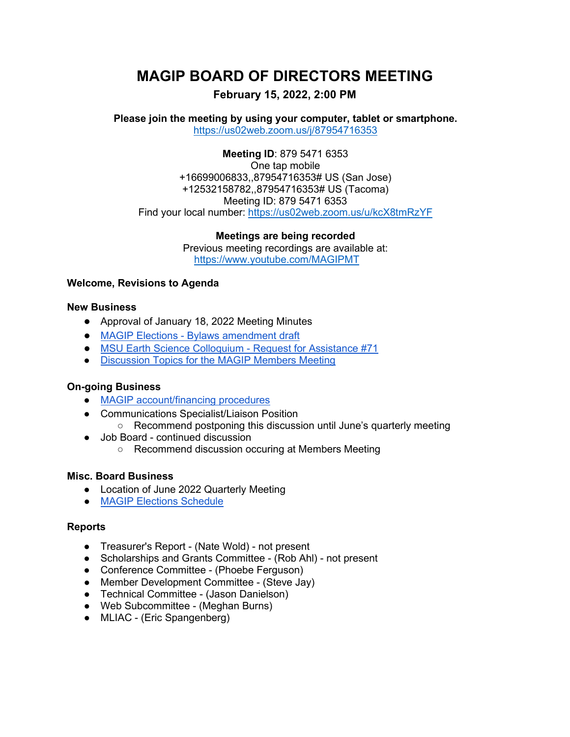# **MAGIP BOARD OF DIRECTORS MEETING**

## **February 15, 2022, 2:00 PM**

**Please join the meeting by using your computer, tablet or smartphone.** <https://us02web.zoom.us/j/87954716353>

**Meeting ID**: 879 5471 6353 One tap mobile +16699006833,,87954716353# US (San Jose) +12532158782,,87954716353# US (Tacoma) Meeting ID: 879 5471 6353 Find your local number:<https://us02web.zoom.us/u/kcX8tmRzYF>

**Meetings are being recorded**

Previous meeting recordings are available at: <https://www.youtube.com/MAGIPMT>

### **Welcome, Revisions to Agenda**

#### **New Business**

- Approval of January 18, 2022 Meeting Minutes
- MAGIP Elections [Bylaws amendment draft](https://docs.google.com/document/d/16K1xPwSS1sR2FkppKlmHMTctLJBv2bv3/edit?usp=sharing&ouid=114705753339718726552&rtpof=true&sd=true)
- [MSU Earth Science Colloquium -](https://www.magip.org/BODforum/12602264) Request for Assistance #71
- [Discussion Topics for the MAGIP Members Meeting](https://docs.google.com/document/d/1IGwzn52lphHtrztr1z6V4Fw66X0DPE0APjewMAoWS9E/edit)

#### **On-going Business**

- [MAGIP account/financing procedures](https://docs.google.com/document/d/1LOrLLxQPyi_yfVLbSSq7q6Np2AZT5dTw5Q7AJF1cedc/edit)
- Communications Specialist/Liaison Position
	- Recommend postponing this discussion until June's quarterly meeting
- Job Board continued discussion
	- Recommend discussion occuring at Members Meeting

#### **Misc. Board Business**

- Location of June 2022 Quarterly Meeting
- **[MAGIP Elections Schedule](https://docs.google.com/document/d/1AuJyC0f7uFNFyv-Sq7K-GIzBD0Ly1unLUgg9uM4mmAQ/edit)**

#### **Reports**

- Treasurer's Report (Nate Wold) not present
- Scholarships and Grants Committee (Rob Ahl) not present
- Conference Committee (Phoebe Ferguson)
- Member Development Committee (Steve Jay)
- Technical Committee (Jason Danielson)
- Web Subcommittee (Meghan Burns)
- MLIAC (Eric Spangenberg)